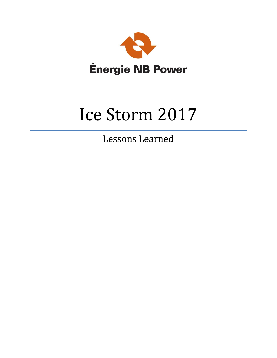

# Ice Storm 2017

Lessons Learned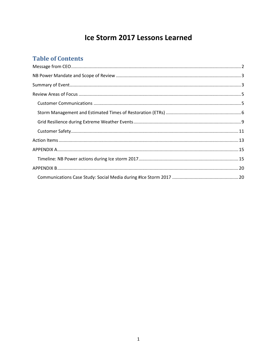# Ice Storm 2017 Lessons Learned

# **Table of Contents**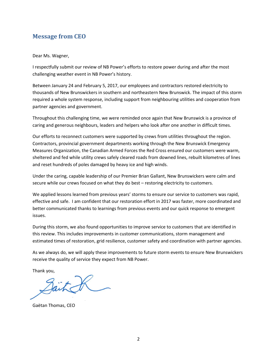## <span id="page-2-0"></span>**Message from CEO**

#### Dear Ms. Wagner,

I respectfully submit our review of NB Power's efforts to restore power during and after the most challenging weather event in NB Power's history.

Between January 24 and February 5, 2017, our employees and contractors restored electricity to thousands of New Brunswickers in southern and northeastern New Brunswick. The impact of this storm required a whole system response, including support from neighbouring utilities and cooperation from partner agencies and government.

Throughout this challenging time, we were reminded once again that New Brunswick is a province of caring and generous neighbours, leaders and helpers who look after one another in difficult times.

Our efforts to reconnect customers were supported by crews from utilities throughout the region. Contractors, provincial government departments working through the New Brunswick Emergency Measures Organization, the Canadian Armed Forces the Red Cross ensured our customers were warm, sheltered and fed while utility crews safely cleared roads from downed lines, rebuilt kilometres of lines and reset hundreds of poles damaged by heavy ice and high winds.

Under the caring, capable leadership of our Premier Brian Gallant, New Brunswickers were calm and secure while our crews focused on what they do best – restoring electricity to customers.

We applied lessons learned from previous years' storms to ensure our service to customers was rapid, effective and safe. I am confident that our restoration effort in 2017 was faster, more coordinated and better communicated thanks to learnings from previous events and our quick response to emergent issues.

During this storm, we also found opportunities to improve service to customers that are identified in this review. This includes improvements in customer communications, storm management and estimated times of restoration, grid resilience, customer safety and coordination with partner agencies.

As we always do, we will apply these improvements to future storm events to ensure New Brunswickers receive the quality of service they expect from NB Power.

Thank you,

Sait K

Gaëtan Thomas, CEO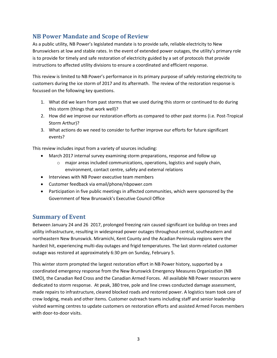# <span id="page-3-0"></span>**NB Power Mandate and Scope of Review**

As a public utility, NB Power's legislated mandate is to provide safe, reliable electricity to New Brunswickers at low and stable rates. In the event of extended power outages, the utility's primary role is to provide for timely and safe restoration of electricity guided by a set of protocols that provide instructions to affected utility divisions to ensure a coordinated and efficient response.

This review is limited to NB Power's performance in its primary purpose of safely restoring electricity to customers during the ice storm of 2017 and its aftermath. The review of the restoration response is focussed on the following key questions.

- 1. What did we learn from past storms that we used during this storm or continued to do during this storm (things that work well)?
- 2. How did we improve our restoration efforts as compared to other past storms (i.e. Post-Tropical Storm Arthur)?
- 3. What actions do we need to consider to further improve our efforts for future significant events?

This review includes input from a variety of sources including:

- March 2017 internal survey examining storm preparations, response and follow up
	- $\circ$  major areas included communications, operations, logistics and supply chain, environment, contact centre, safety and external relations
- Interviews with NB Power executive team members
- Customer feedback via email/phone/nbpower.com
- Participation in five public meetings in affected communities, which were sponsored by the Government of New Brunswick's Executive Council Office

## <span id="page-3-1"></span>**Summary of Event**

Between January 24 and 26 2017, prolonged freezing rain caused significant ice buildup on trees and utility infrastructure, resulting in widespread power outages throughout central, southeastern and northeastern New Brunswick. Miramichi, Kent County and the Acadian Peninsula regions were the hardest hit, experiencing multi-day outages and frigid temperatures. The last storm-related customer outage was restored at approximately 6:30 pm on Sunday, February 5.

This winter storm prompted the largest restoration effort in NB Power history, supported by a coordinated emergency response from the New Brunswick Emergency Measures Organization (NB EMO), the Canadian Red Cross and the Canadian Armed Forces. All available NB Power resources were dedicated to storm response. At peak, 380 tree, pole and line crews conducted damage assessment, made repairs to infrastructure, cleared blocked roads and restored power. A logistics team took care of crew lodging, meals and other items. Customer outreach teams including staff and senior leadership visited warming centres to update customers on restoration efforts and assisted Armed Forces members with door-to-door visits.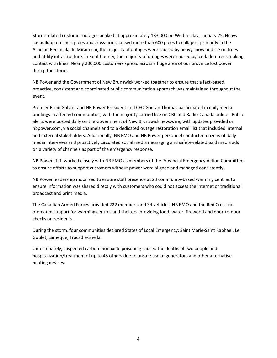Storm-related customer outages peaked at approximately 133,000 on Wednesday, January 25. Heavy ice buildup on lines, poles and cross-arms caused more than 600 poles to collapse, primarily in the Acadian Peninsula. In Miramichi, the majority of outages were caused by heavy snow and ice on trees and utility infrastructure. In Kent County, the majority of outages were caused by ice-laden trees making contact with lines. Nearly 200,000 customers spread across a huge area of our province lost power during the storm.

NB Power and the Government of New Brunswick worked together to ensure that a fact-based, proactive, consistent and coordinated public communication approach was maintained throughout the event.

Premier Brian Gallant and NB Power President and CEO Gaëtan Thomas participated in daily media briefings in affected communities, with the majority carried live on CBC and Radio-Canada online. Public alerts were posted daily on the Government of New Brunswick newswire, with updates provided on nbpower.com, via social channels and to a dedicated outage restoration email list that included internal and external stakeholders. Additionally, NB EMO and NB Power personnel conducted dozens of daily media interviews and proactively circulated social media messaging and safety-related paid media ads on a variety of channels as part of the emergency response.

NB Power staff worked closely with NB EMO as members of the Provincial Emergency Action Committee to ensure efforts to support customers without power were aligned and managed consistently.

NB Power leadership mobilized to ensure staff presence at 23 community-based warming centres to ensure information was shared directly with customers who could not access the internet or traditional broadcast and print media.

The Canadian Armed Forces provided 222 members and 34 vehicles, NB EMO and the Red Cross coordinated support for warming centres and shelters, providing food, water, firewood and door-to-door checks on residents.

During the storm, four communities declared States of Local Emergency: Saint Marie-Saint Raphael, Le Goulet, Lameque, Tracadie-Sheila.

Unfortunately, suspected carbon monoxide poisoning caused the deaths of two people and hospitalization/treatment of up to 45 others due to unsafe use of generators and other alternative heating devices.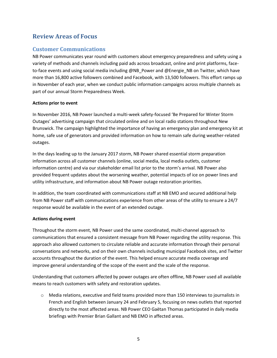# <span id="page-5-0"></span>**Review Areas of Focus**

# <span id="page-5-1"></span>**Customer Communications**

NB Power communicates year round with customers about emergency preparedness and safety using a variety of methods and channels including paid ads across broadcast, online and print platforms, faceto-face events and using social media including @NB\_Power and @Energie\_NB on Twitter, which have more than 16,800 active followers combined and Facebook, with 13,500 followers. This effort ramps up in November of each year, when we conduct public information campaigns across multiple channels as part of our annual Storm Preparedness Week.

#### **Actions prior to event**

In November 2016, NB Power launched a multi-week safety-focused 'Be Prepared for Winter Storm Outages' advertising campaign that circulated online and on local radio stations throughout New Brunswick. The campaign highlighted the importance of having an emergency plan and emergency kit at home, safe use of generators and provided information on how to remain safe during weather-related outages.

In the days leading up to the January 2017 storm, NB Power shared essential storm preparation information across all customer channels (online, social media, local media outlets, customer information centre) and via our stakeholder email list prior to the storm's arrival. NB Power also provided frequent updates about the worsening weather, potential impacts of ice on power lines and utility infrastructure, and information about NB Power outage restoration priorities.

In addition, the team coordinated with communications staff at NB EMO and secured additional help from NB Power staff with communications experience from other areas of the utility to ensure a 24/7 response would be available in the event of an extended outage.

#### **Actions during event**

Throughout the storm event, NB Power used the same coordinated, multi-channel approach to communications that ensured a consistent message from NB Power regarding the utility response. This approach also allowed customers to circulate reliable and accurate information through their personal conversations and networks, and on their own channels including municipal Facebook sites, and Twitter accounts throughout the duration of the event. This helped ensure accurate media coverage and improve general understanding of the scope of the event and the scale of the response.

Understanding that customers affected by power outages are often offline, NB Power used all available means to reach customers with safety and restoration updates.

o Media relations, executive and field teams provided more than 150 interviews to journalists in French and English between January 24 and February 5, focusing on news outlets that reported directly to the most affected areas. NB Power CEO Gaëtan Thomas participated in daily media briefings with Premier Brian Gallant and NB EMO in affected areas.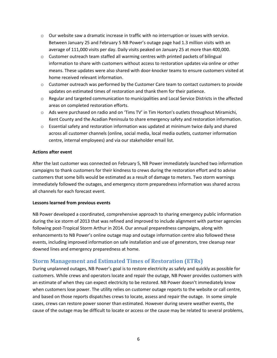- $\circ$  Our website saw a dramatic increase in traffic with no interruption or issues with service. Between January 25 and February 5 NB Power's outage page had 1.3 million visits with an average of 111,000 visits per day. Daily visits peaked on January 25 at more than 400,000.
- o Customer outreach team staffed all warming centres with printed packets of bilingual information to share with customers without access to restoration updates via online or other means. These updates were also shared with door-knocker teams to ensure customers visited at home received relevant information.
- $\circ$  Customer outreach was performed by the Customer Care team to contact customers to provide updates on estimated times of restoration and thank them for their patience.
- o Regular and targeted communication to municipalities and Local Service Districts in the affected areas on completed restoration efforts.
- $\circ$  Ads were purchased on radio and on 'Tims TV' in Tim Horton's outlets throughout Miramichi, Kent County and the Acadian Peninsula to share emergency safety and restoration information.
- $\circ$  Essential safety and restoration information was updated at minimum twice daily and shared across all customer channels (online, social media, local media outlets, customer information centre, internal employees) and via our stakeholder email list.

#### **Actions after event**

After the last customer was connected on February 5, NB Power immediately launched two information campaigns to thank customers for their kindness to crews during the restoration effort and to advise customers that some bills would be estimated as a result of damage to meters. Two storm warnings immediately followed the outages, and emergency storm preparedness information was shared across all channels for each forecast event.

#### **Lessons learned from previous events**

NB Power developed a coordinated, comprehensive approach to sharing emergency public information during the ice storm of 2013 that was refined and improved to include alignment with partner agencies following post-Tropical Storm Arthur in 2014. Our annual preparedness campaigns, along with enhancements to NB Power's online outage map and outage information centre also followed these events, including improved information on safe installation and use of generators, tree cleanup near downed lines and emergency preparedness at home.

## <span id="page-6-0"></span>**Storm Management and Estimated Times of Restoration (ETRs)**

During unplanned outages, NB Power's goal is to restore electricity as safely and quickly as possible for customers. While crews and operators locate and repair the outage, NB Power provides customers with an estimate of when they can expect electricity to be restored. NB Power doesn't immediately know when customers lose power. The utility relies on customer outage reports to the website or call centre, and based on those reports dispatches crews to locate, assess and repair the outage. In some simple cases, crews can restore power sooner than estimated. However during severe weather events, the cause of the outage may be difficult to locate or access or the cause may be related to several problems,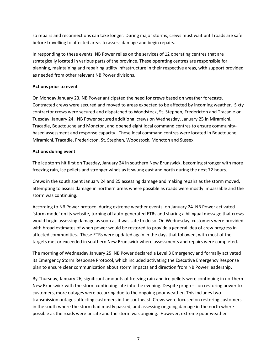so repairs and reconnections can take longer. During major storms, crews must wait until roads are safe before travelling to affected areas to assess damage and begin repairs.

In responding to these events, NB Power relies on the services of 12 operating centres that are strategically located in various parts of the province. These operating centres are responsible for planning, maintaining and repairing utility infrastructure in their respective areas, with support provided as needed from other relevant NB Power divisions.

#### **Actions prior to event**

On Monday January 23, NB Power anticipated the need for crews based on weather forecasts. Contracted crews were secured and moved to areas expected to be affected by incoming weather. Sixty contractor crews were secured and dispatched to Woodstock, St. Stephen, Fredericton and Tracadie on Tuesday, January 24. NB Power secured additional crews on Wednesday, January 25 in Miramichi, Tracadie, Bouctouche and Moncton, and opened eight local command centres to ensure communitybased assessment and response capacity. These local command centres were located in Bouctouche, Miramichi, Tracadie, Fredericton, St. Stephen, Woodstock, Moncton and Sussex.

#### **Actions during event**

The ice storm hit first on Tuesday, January 24 in southern New Brunswick, becoming stronger with more freezing rain, ice pellets and stronger winds as it swung east and north during the next 72 hours.

Crews in the south spent January 24 and 25 assessing damage and making repairs as the storm moved, attempting to assess damage in northern areas where possible as roads were mostly impassable and the storm was continuing.

According to NB Power protocol during extreme weather events, on January 24 NB Power activated 'storm mode' on its website, turning off auto-generated ETRs and sharing a bilingual message that crews would begin assessing damage as soon as it was safe to do so. On Wednesday, customers were provided with broad estimates of when power would be restored to provide a general idea of crew progress in affected communities. These ETRs were updated again in the days that followed, with most of the targets met or exceeded in southern New Brunswick where assessments and repairs were completed.

The morning of Wednesday January 25, NB Power declared a Level 3 Emergency and formally activated its Emergency Storm Response Protocol, which included activating the Executive Emergency Response plan to ensure clear communication about storm impacts and direction from NB Power leadership.

By Thursday, January 26, significant amounts of freezing rain and ice pellets were continuing in northern New Brunswick with the storm continuing late into the evening. Despite progress on restoring power to customers, more outages were occurring due to the ongoing poor weather. This includes two transmission outages affecting customers in the southeast. Crews were focused on restoring customers in the south where the storm had mostly passed, and assessing ongoing damage in the north where possible as the roads were unsafe and the storm was ongoing. However, extreme poor weather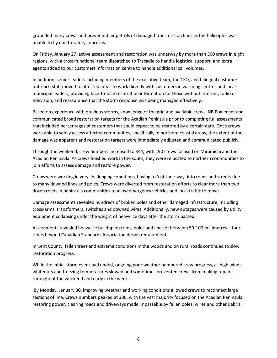grounded many crews and prevented air patrols of damaged transmission lines as the helicopter was unable to fly due to safety concerns.

On Friday, January 27, active assessment and restoration was underway by more than 300 crews in eight regions, with a cross-functional team dispatched to Tracadie to handle logistical support, and extra agents added to our customers information centre to handle additional call volumes.

In addition, senior leaders including members of the executive team, the CEO, and bilingual customer outreach staff moved to affected areas to work directly with customers in warming centres and local municipal leaders, providing face-to-face restoration information for those without internet, radio or television, and reassurance that the storm response was being managed effectively.

Based on experience with previous storms, knowledge of the grid and available crews, NB Power set and communicated broad restoration targets for the Acadian Peninsula prior to completing full assessments that included percentages of customers that could expect to be restored by a certain date. Once crews were able to safely access affected communities, specifically in northern coastal areas, the extent of the damage was apparent and restoration targets were immediately adjusted and communicated publicly.

Through the weekend, crew numbers increased to 344, with 190 crews focused on Miramichi and the Acadian Peninsula. As crews finished work in the south, they were relocated to northern communities to join efforts to assess damage and restore power.

Crews were working in very challenging conditions, having to 'cut their way' into roads and streets due to many downed lines and poles. Crews were diverted from restoration efforts to clear more than two dozen roads in peninsula communities to allow emergency vehicles and local traffic to move

Damage assessments revealed hundreds of broken poles and other damaged infrastructure, including cross-arms, transformers, switches and downed wires. Additionally, new outages were caused by utility equipment collapsing under the weight of heavy ice days after the storm passed.

Assessments revealed heavy ice buildup on trees, poles and lines of between 50-100 millimetres – four times beyond Canadian Standards Association design requirements.

In Kent County, fallen trees and extreme conditions in the woods and on rural roads continued to slow restoration progress.

While the initial storm event had ended, ongoing poor weather hampered crew progress, as high winds, whiteouts and freezing temperatures slowed and sometimes prevented crews from making repairs throughout the weekend and early in the week.

By Monday, January 30, improving weather and working conditions allowed crews to reconnect large sections of line. Crews numbers peaked at 380, with the vast majority focused on the Acadian Peninsula, restoring power, clearing roads and driveways made impassable by fallen poles, wires and other debris.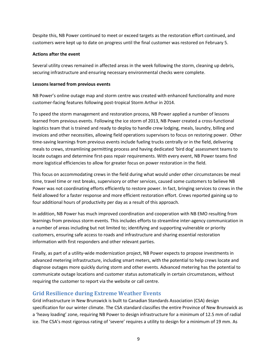Despite this, NB Power continued to meet or exceed targets as the restoration effort continued, and customers were kept up to date on progress until the final customer was restored on February 5.

#### **Actions after the event**

Several utility crews remained in affected areas in the week following the storm, cleaning up debris, securing infrastructure and ensuring necessary environmental checks were complete.

#### **Lessons learned from previous events**

NB Power's online outage map and storm centre was created with enhanced functionality and more customer-facing features following post-tropical Storm Arthur in 2014.

To speed the storm management and restoration process, NB Power applied a number of lessons learned from previous events. Following the ice storm of 2013, NB Power created a cross-functional logistics team that is trained and ready to deploy to handle crew lodging, meals, laundry, billing and invoices and other necessities, allowing field operations supervisors to focus on restoring power. Other time-saving learnings from previous events include fueling trucks centrally or in the field, delivering meals to crews, streamlining permitting process and having dedicated 'bird dog' assessment teams to locate outages and determine first-pass repair requirements. With every event, NB Power teams find more logistical efficiencies to allow for greater focus on power restoration in the field.

This focus on accommodating crews in the field during what would under other circumstances be meal time, travel time or rest breaks, supervisory or other services, caused some customers to believe NB Power was not coordinating efforts efficiently to restore power. In fact, bringing services to crews in the field allowed for a faster response and more efficient restoration effort. Crews reported gaining up to four additional hours of productivity per day as a result of this approach.

In addition, NB Power has much improved coordination and cooperation with NB EMO resulting from learnings from previous storm events. This includes efforts to streamline inter-agency communication in a number of areas including but not limited to; identifying and supporting vulnerable or priority customers, ensuring safe access to roads and infrastructure and sharing essential restoration information with first responders and other relevant parties.

Finally, as part of a utility-wide modernization project, NB Power expects to propose investments in advanced metering infrastructure, including smart meters, with the potential to help crews locate and diagnose outages more quickly during storm and other events. Advanced metering has the potential to communicate outage locations and customer status automatically in certain circumstances, without requiring the customer to report via the website or call centre.

## <span id="page-9-0"></span>**Grid Resilience during Extreme Weather Events**

Grid infrastructure in New Brunswick is built to Canadian Standards Association (CSA) design specification for our winter climate. The CSA standard classifies the entire Province of New Brunswick as a 'heavy loading' zone, requiring NB Power to design infrastructure for a minimum of 12.5 mm of radial ice. The CSA's most rigorous rating of 'severe' requires a utility to design for a minimum of 19 mm. As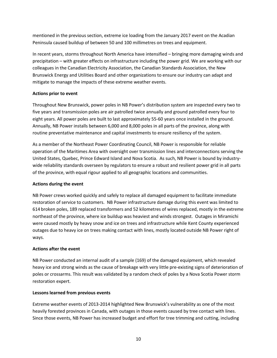mentioned in the previous section, extreme ice loading from the January 2017 event on the Acadian Peninsula caused buildup of between 50 and 100 millimetres on trees and equipment.

In recent years, storms throughout North America have intensified – bringing more damaging winds and precipitation – with greater effects on infrastructure including the power grid. We are working with our colleagues in the Canadian Electricity Association, the Canadian Standards Association, the New Brunswick Energy and Utilities Board and other organizations to ensure our industry can adapt and mitigate to manage the impacts of these extreme weather events.

#### **Actions prior to event**

Throughout New Brunswick, power poles in NB Power's distribution system are inspected every two to five years and transmission poles are air patrolled twice annually and ground patrolled every four to eight years. All power poles are built to last approximately 55-60 years once installed in the ground. Annually, NB Power installs between 6,000 and 8,000 poles in all parts of the province, along with routine preventative maintenance and capital investments to ensure resiliency of the system.

As a member of the Northeast Power Coordinating Council, NB Power is responsible for reliable operation of the Maritimes Area with oversight over transmission lines and interconnections serving the United States, Quebec, Prince Edward Island and Nova Scotia. As such, NB Power is bound by industrywide reliability standards overseen by regulators to ensure a robust and resilient power grid in all parts of the province, with equal rigour applied to all geographic locations and communities.

#### **Actions during the event**

NB Power crews worked quickly and safely to replace all damaged equipment to facilitate immediate restoration of service to customers. NB Power infrastructure damage during this event was limited to 614 broken poles, 189 replaced transformers and 52 kilometres of wires replaced, mostly in the extreme northeast of the province, where ice buildup was heaviest and winds strongest. Outages in Miramichi were caused mostly by heavy snow and ice on trees and infrastructure while Kent County experienced outages due to heavy ice on trees making contact with lines, mostly located outside NB Power right of ways.

### **Actions after the event**

NB Power conducted an internal audit of a sample (169) of the damaged equipment, which revealed heavy ice and strong winds as the cause of breakage with very little pre-existing signs of deterioration of poles or crossarms. This result was validated by a random check of poles by a Nova Scotia Power storm restoration expert.

#### **Lessons learned from previous events**

Extreme weather events of 2013-2014 highlighted New Brunswick's vulnerability as one of the most heavily forested provinces in Canada, with outages in those events caused by tree contact with lines. Since those events, NB Power has increased budget and effort for tree trimming and cutting, including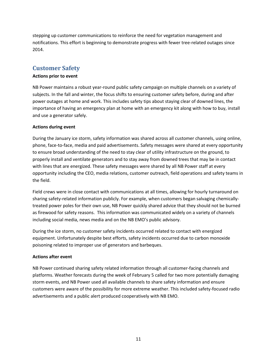stepping up customer communications to reinforce the need for vegetation management and notifications. This effort is beginning to demonstrate progress with fewer tree-related outages since 2014.

# <span id="page-11-0"></span>**Customer Safety**

#### **Actions prior to event**

NB Power maintains a robust year-round public safety campaign on multiple channels on a variety of subjects. In the fall and winter, the focus shifts to ensuring customer safety before, during and after power outages at home and work. This includes safety tips about staying clear of downed lines, the importance of having an emergency plan at home with an emergency kit along with how to buy, install and use a generator safely.

#### **Actions during event**

During the January ice storm, safety information was shared across all customer channels, using online, phone, face-to-face, media and paid advertisements. Safety messages were shared at every opportunity to ensure broad understanding of the need to stay clear of utility infrastructure on the ground, to properly install and ventilate generators and to stay away from downed trees that may be in contact with lines that are energized. These safety messages were shared by all NB Power staff at every opportunity including the CEO, media relations, customer outreach, field operations and safety teams in the field.

Field crews were in close contact with communications at all times, allowing for hourly turnaround on sharing safety-related information publicly. For example, when customers began salvaging chemicallytreated power poles for their own use, NB Power quickly shared advice that they should not be burned as firewood for safety reasons. This information was communicated widely on a variety of channels including social media, news media and on the NB EMO's public advisory.

During the ice storm, no customer safety incidents occurred related to contact with energized equipment. Unfortunately despite best efforts, safety incidents occurred due to carbon monoxide poisoning related to improper use of generators and barbeques.

#### **Actions after event**

NB Power continued sharing safety related information through all customer-facing channels and platforms. Weather forecasts during the week of February 5 called for two more potentially damaging storm events, and NB Power used all available channels to share safety information and ensure customers were aware of the possibility for more extreme weather. This included safety-focused radio advertisements and a public alert produced cooperatively with NB EMO.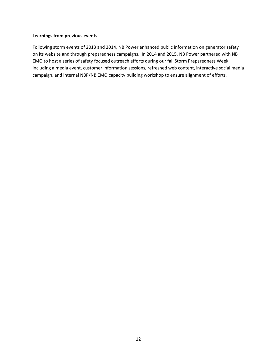#### **Learnings from previous events**

Following storm events of 2013 and 2014, NB Power enhanced public information on generator safety on its website and through preparedness campaigns. In 2014 and 2015, NB Power partnered with NB EMO to host a series of safety focused outreach efforts during our fall Storm Preparedness Week, including a media event, customer information sessions, refreshed web content, interactive social media campaign, and internal NBP/NB EMO capacity building workshop to ensure alignment of efforts.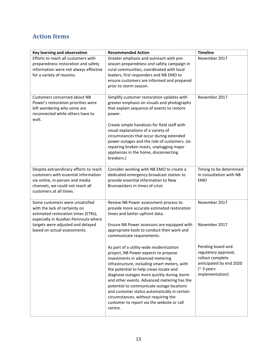# <span id="page-13-0"></span>**Action Items**

| Key learning and observation                                                                                                                                                     | <b>Recommended Action</b>                                                                                                                                                                                                                                                                                                                                                                                                                                                                                | <b>Timeline</b>                                                                                                                   |
|----------------------------------------------------------------------------------------------------------------------------------------------------------------------------------|----------------------------------------------------------------------------------------------------------------------------------------------------------------------------------------------------------------------------------------------------------------------------------------------------------------------------------------------------------------------------------------------------------------------------------------------------------------------------------------------------------|-----------------------------------------------------------------------------------------------------------------------------------|
| Efforts to reach all customers with<br>preparedness restoration and safety<br>information were not always effective<br>for a variety of reasons.                                 | Greater emphasis and outreach with pre-<br>season preparedness and safety campaign in<br>rural communities, coordinated with local<br>leaders, first responders and NB EMO to<br>ensure customers are informed and prepared<br>prior to storm season.                                                                                                                                                                                                                                                    | November 2017                                                                                                                     |
| Customers concerned about NB<br>Power's restoration priorities were<br>left wondering why some are<br>reconnected while others have to<br>wait.                                  | Simplify customer restoration updates with<br>greater emphasis on visuals and photographs<br>that explain sequence of events to restore<br>power.<br>Create simple handouts for field staff with<br>visual explanations of a variety of<br>circumstances that occur during extended<br>power outages and the role of customers. (ie:<br>repairing broken masts, unplugging major<br>appliances in the home, disconnecting<br>breakers.)                                                                  | November 2017                                                                                                                     |
| Despite extraordinary efforts to reach<br>customers with essential information<br>via online, in-person and media<br>channels, we could not reach all<br>customers at all times. | Consider working with NB EMO to create a<br>dedicated emergency broadcast station to<br>provide essential information to New<br>Brunswickers in times of crisis                                                                                                                                                                                                                                                                                                                                          | Timing to be determined<br>in consultation with NB<br><b>EMO</b>                                                                  |
| Some customers were unsatisfied<br>with the lack of certainty on<br>estimated restoration times (ETRs),<br>especially in Acadian Peninsula where                                 | Review NB Power assessment process to<br>provide more accurate estimated restoration<br>times and better upfront data.                                                                                                                                                                                                                                                                                                                                                                                   | November 2017                                                                                                                     |
| targets were adjusted and delayed<br>based on actual assessments.                                                                                                                | Ensure NB Power assessors are equipped with<br>appropriate tools to conduct their work and<br>communicate requirements.                                                                                                                                                                                                                                                                                                                                                                                  | November 2017                                                                                                                     |
|                                                                                                                                                                                  | As part of a utility-wide modernization<br>project, NB Power expects to propose<br>investments in advanced metering<br>infrastructure, including smart meters, with<br>the potential to help crews locate and<br>diagnose outages more quickly during storm<br>and other events. Advanced metering has the<br>potential to communicate outage locations<br>and customer status automatically in certain<br>circumstances, without requiring the<br>customer to report via the website or call<br>centre. | Pending board and<br>regulatory approval,<br>rollout complete<br>anticipated by end 2020<br>$($ $\sim$ 3 years<br>implementation) |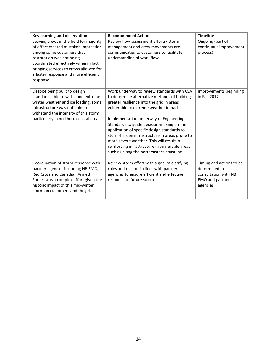| <b>Key learning and observation</b>     | <b>Recommended Action</b>                                                                    | <b>Timeline</b>          |
|-----------------------------------------|----------------------------------------------------------------------------------------------|--------------------------|
| Leaving crews in the field for majority | Review how assessment efforts/ storm                                                         | Ongoing (part of         |
| of effort created mistaken impression   | management and crew movements are                                                            | continuous improvement   |
| among some customers that               | communicated to customers to facilitate                                                      | process)                 |
| restoration was not being               | understanding of work flow.                                                                  |                          |
| coordinated effectively when in fact    |                                                                                              |                          |
| bringing services to crews allowed for  |                                                                                              |                          |
| a faster response and more efficient    |                                                                                              |                          |
| response.                               |                                                                                              |                          |
|                                         |                                                                                              |                          |
| Despite being built to design           | Work underway to review standards with CSA                                                   | Improvements beginning   |
| standards able to withstand extreme     | to determine alternative methods of building                                                 | in Fall 2017             |
| winter weather and ice loading, some    | greater resilience into the grid in areas                                                    |                          |
| infrastructure was not able to          | vulnerable to extreme weather impacts.                                                       |                          |
| withstand the intensity of this storm,  |                                                                                              |                          |
| particularly in northern coastal areas. | Implementation underway of Engineering                                                       |                          |
|                                         | Standards to guide decision-making on the                                                    |                          |
|                                         | application of specific design standards to<br>storm-harden infrastructure in areas prone to |                          |
|                                         | more severe weather. This will result in                                                     |                          |
|                                         | reinforcing infrastructure in vulnerable areas,                                              |                          |
|                                         | such as along the northeastern coastline.                                                    |                          |
|                                         |                                                                                              |                          |
| Coordination of storm response with     | Review storm effort with a goal of clarifying                                                | Timing and actions to be |
| partner agencies including NB EMO,      | roles and responsibilities with partner                                                      | determined in            |
| Red Cross and Canadian Armed            | agencies to ensure efficient and effective                                                   | consultation with NB     |
| Forces was a complex effort given the   | response to future storms.                                                                   | EMO and partner          |
| historic impact of this mid-winter      |                                                                                              | agencies.                |
| storm on customers and the grid.        |                                                                                              |                          |
|                                         |                                                                                              |                          |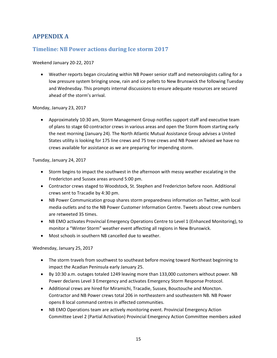# <span id="page-15-0"></span>**APPENDIX A**

## <span id="page-15-1"></span>**Timeline: NB Power actions during Ice storm 2017**

#### Weekend January 20-22, 2017

 Weather reports began circulating within NB Power senior staff and meteorologists calling for a low pressure system bringing snow, rain and ice pellets to New Brunswick the following Tuesday and Wednesday. This prompts internal discussions to ensure adequate resources are secured ahead of the storm's arrival.

Monday, January 23, 2017

 Approximately 10:30 am, Storm Management Group notifies support staff and executive team of plans to stage 60 contractor crews in various areas and open the Storm Room starting early the next morning (January 24). The North Atlantic Mutual Assistance Group advises a United States utility is looking for 175 line crews and 75 tree crews and NB Power advised we have no crews available for assistance as we are preparing for impending storm.

Tuesday, January 24, 2017

- Storm begins to impact the southwest in the afternoon with messy weather escalating in the Fredericton and Sussex areas around 5:00 pm.
- Contractor crews staged to Woodstock, St. Stephen and Fredericton before noon. Additional crews sent to Tracadie by 4:30 pm.
- NB Power Communication group shares storm preparedness information on Twitter, with local media outlets and to the NB Power Customer Information Centre. Tweets about crew numbers are retweeted 35 times.
- NB EMO activates Provincial Emergency Operations Centre to Level 1 (Enhanced Monitoring), to monitor a "Winter Storm" weather event affecting all regions in New Brunswick.
- Most schools in southern NB cancelled due to weather.

Wednesday, January 25, 2017

- The storm travels from southwest to southeast before moving toward Northeast beginning to impact the Acadian Peninsula early January 25.
- By 10:30 a.m. outages totaled 1249 leaving more than 133,000 customers without power. NB Power declares Level 3 Emergency and activates Emergency Storm Response Protocol.
- Additional crews are hired for Miramichi, Tracadie, Sussex, Bouctouche and Moncton. Contractor and NB Power crews total 206 in northeastern and southeastern NB. NB Power opens 8 local command centres in affected communities.
- NB EMO Operations team are actively monitoring event. Provincial Emergency Action Committee Level 2 (Partial Activation) Provincial Emergency Action Committee members asked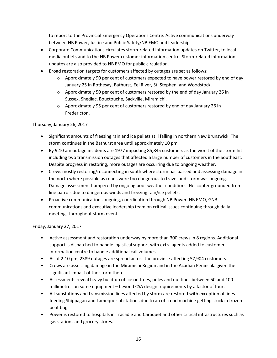to report to the Provincial Emergency Operations Centre. Active communications underway between NB Power, Justice and Public Safety/NB EMO and leadership.

- Corporate Communications circulates storm-related information updates on Twitter, to local media outlets and to the NB Power customer information centre. Storm-related information updates are also provided to NB EMO for public circulation.
- Broad restoration targets for customers affected by outages are set as follows:
	- $\circ$  Approximately 90 per cent of customers expected to have power restored by end of day January 25 in Rothesay, Bathurst, Eel River, St. Stephen, and Woodstock.
	- $\circ$  Approximately 50 per cent of customers restored by the end of day January 26 in Sussex, Shediac, Bouctouche, Sackville, Miramichi.
	- $\circ$  Approximately 95 per cent of customers restored by end of day January 26 in Fredericton.

#### Thursday, January 26, 2017

- Significant amounts of freezing rain and ice pellets still falling in northern New Brunswick. The storm continues in the Bathurst area until approximately 10 pm.
- By 9:10 am outage incidents are 1977 impacting 85,845 customers as the worst of the storm hit including two transmission outages that affected a large number of customers in the Southeast. Despite progress in restoring, more outages are occurring due to ongoing weather.
- Crews mostly restoring/reconnecting in south where storm has passed and assessing damage in the north where possible as roads were too dangerous to travel and storm was ongoing. Damage assessment hampered by ongoing poor weather conditions. Helicopter grounded from line patrols due to dangerous winds and freezing rain/ice pellets.
- Proactive communications ongoing, coordination through NB Power, NB EMO, GNB communications and executive leadership team on critical issues continuing through daily meetings throughout storm event.

Friday, January 27, 2017

- Active assessment and restoration underway by more than 300 crews in 8 regions. Additional support is dispatched to handle logistical support with extra agents added to customer information centre to handle additional call volumes.
- As of 2:10 pm, 2389 outages are spread across the province affecting 57,904 customers.
- Crews are assessing damage in the Miramichi Region and in the Acadian Peninsula given the significant impact of the storm there.
- Assessments reveal heavy build-up of ice on trees, poles and our lines between 50 and 100 millimetres on some equipment – beyond CSA design requirements by a factor of four.
- All substations and transmission lines affected by storm are restored with exception of lines feeding Shippagan and Lameque substations due to an off-road machine getting stuck in frozen peat bog.
- Power is restored to hospitals in Tracadie and Caraquet and other critical infrastructures such as gas stations and grocery stores.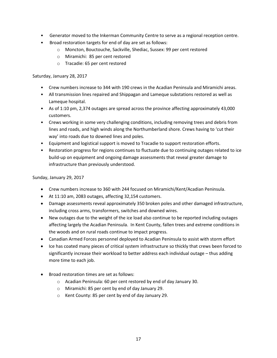- Generator moved to the Inkerman Community Centre to serve as a regional reception centre.
- Broad restoration targets for end of day are set as follows:
	- o Moncton, Bouctouche, Sackville, Shediac, Sussex: 99 per cent restored
	- o Miramichi: 85 per cent restored
	- o Tracadie: 65 per cent restored

#### Saturday, January 28, 2017

- Crew numbers increase to 344 with 190 crews in the Acadian Peninsula and Miramichi areas.
- All transmission lines repaired and Shippagan and Lameque substations restored as well as Lameque hospital.
- As of 1:10 pm, 2,374 outages are spread across the province affecting approximately 43,000 customers.
- Crews working in some very challenging conditions, including removing trees and debris from lines and roads, and high winds along the Northumberland shore. Crews having to 'cut their way' into roads due to downed lines and poles.
- Equipment and logistical support is moved to Tracadie to support restoration efforts.
- Restoration progress for regions continues to fluctuate due to continuing outages related to ice build-up on equipment and ongoing damage assessments that reveal greater damage to infrastructure than previously understood.

Sunday, January 29, 2017

- Crew numbers increase to 360 with 244 focused on Miramichi/Kent/Acadian Peninsula.
- At 11:10 am, 2083 outages, affecting 32,154 customers.
- Damage assessments reveal approximately 350 broken poles and other damaged infrastructure, including cross arms, transformers, switches and downed wires.
- New outages due to the weight of the ice load also continue to be reported including outages affecting largely the Acadian Peninsula. In Kent County, fallen trees and extreme conditions in the woods and on rural roads continue to impact progress.
- Canadian Armed Forces personnel deployed to Acadian Peninsula to assist with storm effort
- Ice has coated many pieces of critical system infrastructure so thickly that crews been forced to significantly increase their workload to better address each individual outage – thus adding more time to each job.
- Broad restoration times are set as follows:
	- o Acadian Peninsula: 60 per cent restored by end of day January 30.
	- o Miramichi: 85 per cent by end of day January 29.
	- o Kent County: 85 per cent by end of day January 29.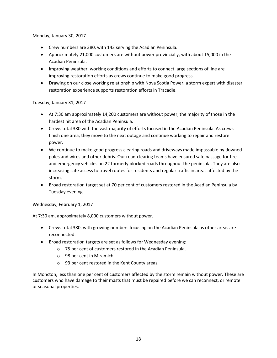Monday, January 30, 2017

- Crew numbers are 380, with 143 serving the Acadian Peninsula.
- Approximately 21,000 customers are without power provincially, with about 15,000 in the Acadian Peninsula.
- Improving weather, working conditions and efforts to connect large sections of line are improving restoration efforts as crews continue to make good progress.
- Drawing on our close working relationship with Nova Scotia Power, a storm expert with disaster restoration experience supports restoration efforts in Tracadie.

Tuesday, January 31, 2017

- At 7:30 am approximately 14,200 customers are without power, the majority of those in the hardest hit area of the Acadian Peninsula.
- Crews total 380 with the vast majority of efforts focused in the Acadian Peninsula. As crews finish one area, they move to the next outage and continue working to repair and restore power.
- We continue to make good progress clearing roads and driveways made impassable by downed poles and wires and other debris. Our road-clearing teams have ensured safe passage for fire and emergency vehicles on 22 formerly blocked roads throughout the peninsula. They are also increasing safe access to travel routes for residents and regular traffic in areas affected by the storm.
- Broad restoration target set at 70 per cent of customers restored in the Acadian Peninsula by Tuesday evening

Wednesday, February 1, 2017

At 7:30 am, approximately 8,000 customers without power.

- Crews total 380, with growing numbers focusing on the Acadian Peninsula as other areas are reconnected.
- Broad restoration targets are set as follows for Wednesday evening:
	- o 75 per cent of customers restored in the Acadian Peninsula,
	- o 98 per cent in Miramichi
	- o 93 per cent restored in the Kent County areas.

In Moncton, less than one per cent of customers affected by the storm remain without power. These are customers who have damage to their masts that must be repaired before we can reconnect, or remote or seasonal properties.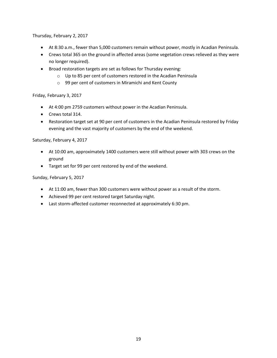Thursday, February 2, 2017

- At 8:30 a.m., fewer than 5,000 customers remain without power, mostly in Acadian Peninsula.
- Crews total 365 on the ground in affected areas (some vegetation crews relieved as they were no longer required).
- Broad restoration targets are set as follows for Thursday evening:
	- o Up to 85 per cent of customers restored in the Acadian Peninsula
	- o 99 per cent of customers in Miramichi and Kent County

Friday, February 3, 2017

- At 4:00 pm 2759 customers without power in the Acadian Peninsula.
- Crews total 314.
- Restoration target set at 90 per cent of customers in the Acadian Peninsula restored by Friday evening and the vast majority of customers by the end of the weekend.

Saturday, February 4, 2017

- At 10:00 am, approximately 1400 customers were still without power with 303 crews on the ground
- Target set for 99 per cent restored by end of the weekend.

Sunday, February 5, 2017

- At 11:00 am, fewer than 300 customers were without power as a result of the storm.
- Achieved 99 per cent restored target Saturday night.
- Last storm-affected customer reconnected at approximately 6:30 pm.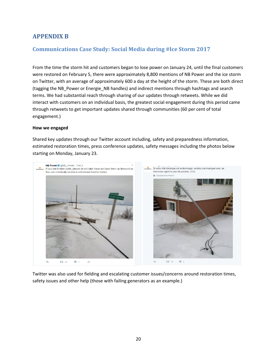# <span id="page-20-0"></span>**APPENDIX B**

# <span id="page-20-1"></span>**Communications Case Study: Social Media during #Ice Storm 2017**

From the time the storm hit and customers began to lose power on January 24, until the final customers were restored on February 5, there were approximately 8,800 mentions of NB Power and the ice storm on Twitter, with an average of approximately 600 a day at the height of the storm. These are both direct (tagging the NB\_Power or Energie\_NB handles) and indirect mentions through hashtags and search terms. We had substantial reach through sharing of our updates through retweets. While we did interact with customers on an individual basis, the greatest social engagement during this period came through retweets to get important updates shared through communities (60 per cent of total engagement.)

#### **How we engaged**

Shared key updates through our Twitter account including, safety and preparedness information, estimated restoration times, press conference updates, safety messages including the photos below starting on Monday, January 23.



Twitter was also used for fielding and escalating customer issues/concerns around restoration times, safety issues and other help (those with failing generators as an example.)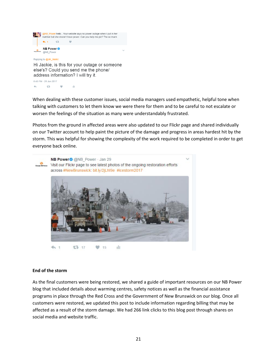

Hi Jackie, is this for your outage or someone else's? Could you send me the phone/ address information? I will try it. 8:43 PM - 28 Jan 2017  $-12$  $\bullet$ a.  $\pm 11$ 

When dealing with these customer issues, social media managers used empathetic, helpful tone when talking with customers to let them know we were there for them and to be careful to not escalate or worsen the feelings of the situation as many were understandably frustrated.

Photos from the ground in affected areas were also updated to our Flickr page and shared individually on our Twitter account to help paint the picture of the damage and progress in areas hardest hit by the storm. This was helpful for showing the complexity of the work required to be completed in order to get everyone back online.



#### **End of the storm**

As the final customers were being restored, we shared a guide of important resources on our NB Power blog that included details about warming centres, safety notices as well as the financial assistance programs in place through the Red Cross and the Government of New Brunswick on our blog. Once all customers were restored, we updated this post to include information regarding billing that may be affected as a result of the storm damage. We had 266 link clicks to this blog post through shares on social media and website traffic.